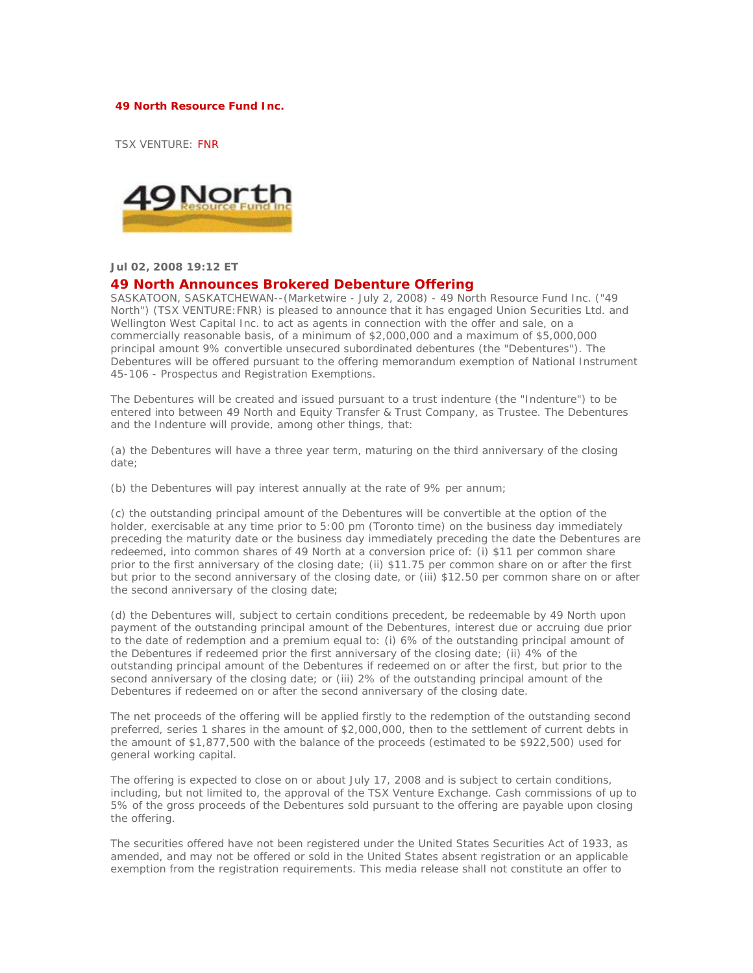## **49 North Resource Fund Inc.**

TSX VENTURE: FNR



## **Jul 02, 2008 19:12 ET**

## **49 North Announces Brokered Debenture Offering**

SASKATOON, SASKATCHEWAN--(Marketwire - July 2, 2008) - 49 North Resource Fund Inc. ("49 North") (TSX VENTURE:FNR) is pleased to announce that it has engaged Union Securities Ltd. and Wellington West Capital Inc. to act as agents in connection with the offer and sale, on a commercially reasonable basis, of a minimum of \$2,000,000 and a maximum of \$5,000,000 principal amount 9% convertible unsecured subordinated debentures (the "Debentures"). The Debentures will be offered pursuant to the offering memorandum exemption of National Instrument 45-106 - Prospectus and Registration Exemptions.

The Debentures will be created and issued pursuant to a trust indenture (the "Indenture") to be entered into between 49 North and Equity Transfer & Trust Company, as Trustee. The Debentures and the Indenture will provide, among other things, that:

(a) the Debentures will have a three year term, maturing on the third anniversary of the closing date;

(b) the Debentures will pay interest annually at the rate of 9% per annum;

(c) the outstanding principal amount of the Debentures will be convertible at the option of the holder, exercisable at any time prior to 5:00 pm (Toronto time) on the business day immediately preceding the maturity date or the business day immediately preceding the date the Debentures are redeemed, into common shares of 49 North at a conversion price of: (i) \$11 per common share prior to the first anniversary of the closing date; (ii) \$11.75 per common share on or after the first but prior to the second anniversary of the closing date, or (iii) \$12.50 per common share on or after the second anniversary of the closing date;

(d) the Debentures will, subject to certain conditions precedent, be redeemable by 49 North upon payment of the outstanding principal amount of the Debentures, interest due or accruing due prior to the date of redemption and a premium equal to: (i) 6% of the outstanding principal amount of the Debentures if redeemed prior the first anniversary of the closing date; (ii) 4% of the outstanding principal amount of the Debentures if redeemed on or after the first, but prior to the second anniversary of the closing date; or (iii) 2% of the outstanding principal amount of the Debentures if redeemed on or after the second anniversary of the closing date.

The net proceeds of the offering will be applied firstly to the redemption of the outstanding second preferred, series 1 shares in the amount of \$2,000,000, then to the settlement of current debts in the amount of \$1,877,500 with the balance of the proceeds (estimated to be \$922,500) used for general working capital.

The offering is expected to close on or about July 17, 2008 and is subject to certain conditions, including, but not limited to, the approval of the TSX Venture Exchange. Cash commissions of up to 5% of the gross proceeds of the Debentures sold pursuant to the offering are payable upon closing the offering.

The securities offered have not been registered under the United States Securities Act of 1933, as amended, and may not be offered or sold in the United States absent registration or an applicable exemption from the registration requirements. This media release shall not constitute an offer to